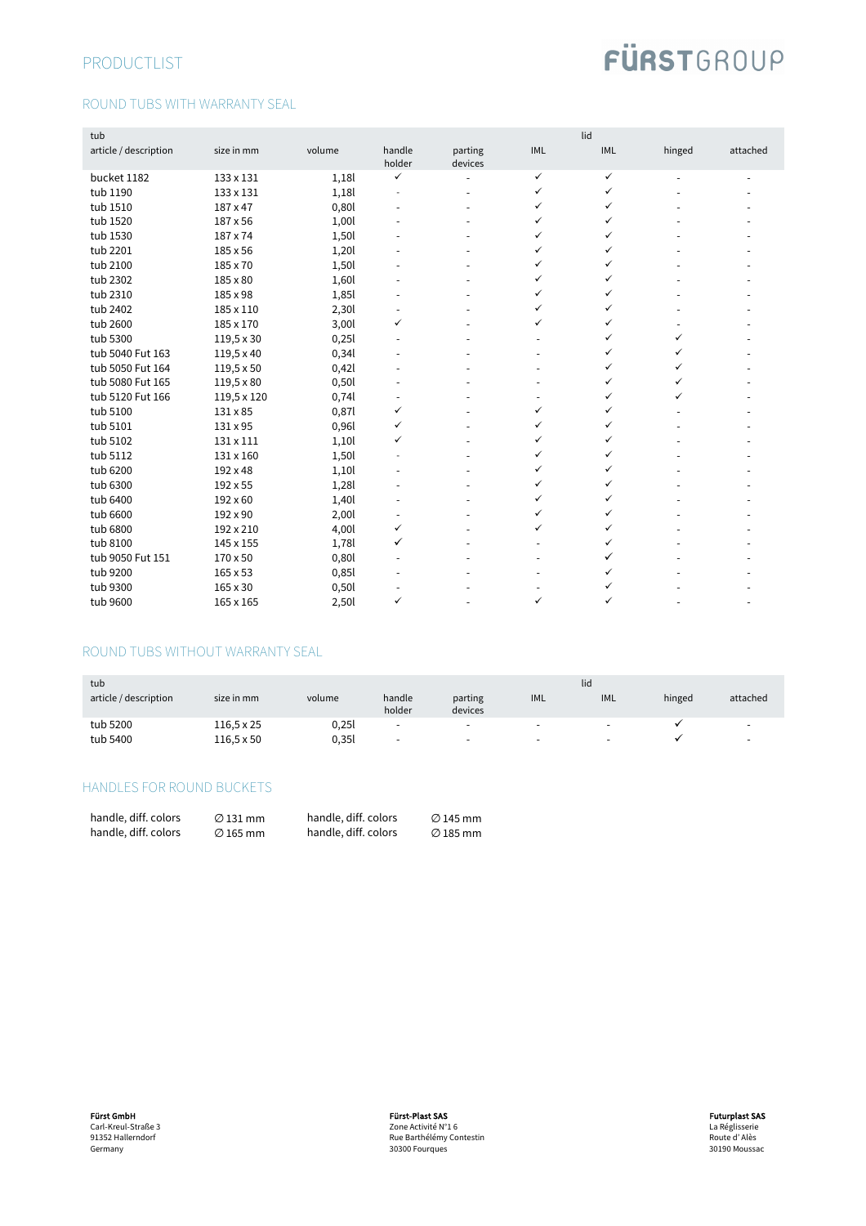## PRODUCTLIST

## FÜRSTGROUP

## ROUND TUBS WITH WARRANTY SEAL

| tub                   |             |        |                          |                          |              | lid          |                          |          |
|-----------------------|-------------|--------|--------------------------|--------------------------|--------------|--------------|--------------------------|----------|
| article / description | size in mm  | volume | handle<br>holder         | parting<br>devices       | <b>IML</b>   | <b>IML</b>   | hinged                   | attached |
| bucket 1182           | 133 x 131   | 1,18   | $\checkmark$             |                          | $\checkmark$ | $\checkmark$ |                          |          |
| tub 1190              | 133 x 131   | 1,18   | Ĭ.                       | $\overline{\phantom{a}}$ | $\checkmark$ | $\checkmark$ |                          |          |
| tub 1510              | 187 x 47    | 0,80   |                          |                          | ✓            | $\checkmark$ |                          |          |
| tub 1520              | 187 x 56    | 1,00l  |                          |                          | ✓            | $\checkmark$ |                          |          |
| tub 1530              | 187 x 74    | 1,50   |                          |                          | ✓            | $\checkmark$ |                          |          |
| tub 2201              | 185 x 56    | 1,20   |                          |                          | ✓            | $\checkmark$ |                          |          |
| tub 2100              | 185 x 70    | 1,50   |                          |                          | ✓            | $\checkmark$ |                          |          |
| tub 2302              | 185 x 80    | 1,60   |                          |                          | ✓            | $\checkmark$ |                          |          |
| tub 2310              | 185 x 98    | 1,85l  |                          | ÷,                       | ✓            | $\checkmark$ |                          |          |
| tub 2402              | 185 x 110   | 2,30   |                          |                          | ✓            | $\checkmark$ |                          |          |
| tub 2600              | 185 x 170   | 3,00l  | ✓                        |                          | ✓            | $\checkmark$ | $\overline{\phantom{a}}$ |          |
| tub 5300              | 119,5 x 30  | 0,25l  | $\sim$                   |                          |              | $\checkmark$ | ✓                        |          |
| tub 5040 Fut 163      | 119,5 x 40  | 0,341  |                          |                          |              | $\checkmark$ | ✓                        |          |
| tub 5050 Fut 164      | 119,5 x 50  | 0,421  |                          |                          |              | $\checkmark$ | ✓                        |          |
| tub 5080 Fut 165      | 119,5 x 80  | 0,50l  | $\overline{\phantom{a}}$ |                          |              | $\checkmark$ | ✓                        |          |
| tub 5120 Fut 166      | 119,5 x 120 | 0,74   | $\sim$                   |                          |              | ✓            | ✓                        |          |
| tub 5100              | 131 x 85    | 0,871  | ✓                        |                          | ✓            | $\checkmark$ |                          |          |
| tub 5101              | 131 x 95    | 0,96l  | ✓                        |                          | ✓            | $\checkmark$ |                          |          |
| tub 5102              | 131 x 111   | 1,101  | ✓                        |                          | ✓            | ✓            |                          |          |
| tub 5112              | 131 x 160   | 1,50l  |                          |                          | ✓            | ✓            |                          |          |
| tub 6200              | 192 x 48    | 1,10   |                          |                          | ✓            | $\checkmark$ |                          |          |
| tub 6300              | 192 x 55    | 1,28   |                          |                          | ✓            | $\checkmark$ |                          |          |
| tub 6400              | 192 x 60    | 1,40   | $\overline{\phantom{a}}$ | $\overline{a}$           | ✓            | $\checkmark$ |                          |          |
| tub 6600              | 192 x 90    | 2,00l  | $\sim$                   |                          | ✓            | ✓            |                          |          |
| tub 6800              | 192 x 210   | 4,00l  | ✓                        |                          | ✓            | $\checkmark$ |                          |          |
| tub 8100              | 145 x 155   | 1,78l  | ✓                        |                          |              | $\checkmark$ |                          |          |
| tub 9050 Fut 151      | 170 x 50    | 0,80   | $\sim$                   |                          |              | $\checkmark$ |                          |          |
| tub 9200              | 165 x 53    | 0,85l  |                          |                          |              | $\checkmark$ |                          |          |
| tub 9300              | 165 x 30    | 0,50   |                          |                          |              | $\checkmark$ |                          |          |
| tub 9600              | 165 x 165   | 2,50l  | ✓                        |                          | ✓            | ✓            |                          |          |

#### ROUND TUBS WITHOUT WARRANTY SEAL

| tub                   |                   |        |                          |                          |                          | lid        |        |          |
|-----------------------|-------------------|--------|--------------------------|--------------------------|--------------------------|------------|--------|----------|
| article / description | size in mm        | volume | handle<br>holder         | parting<br>devices       | <b>IML</b>               | <b>IML</b> | hinged | attached |
| tub 5200              | $116.5 \times 25$ | 0,25l  | $\overline{\phantom{a}}$ | $\overline{\phantom{0}}$ | $\overline{\phantom{a}}$ | -          |        | -        |
| tub 5400              | 116.5 x 50        | 0.35l  | $\overline{\phantom{a}}$ | $\overline{\phantom{0}}$ | $\overline{\phantom{a}}$ | -          |        | -        |

### HANDLES FOR ROUND BUCKETS

| handle, diff. colors | $\varnothing$ 131 mm |
|----------------------|----------------------|
| handle, diff. colors | $\varnothing$ 165 mm |

handle, diff. colors *Ø* 145 mm handle, diff. colors *Ø* 185 mm

**Fürst-Plast SAS**<br>Zone Activité N°1 6<br>Rue Barthélémy Contestin 30300 Fourques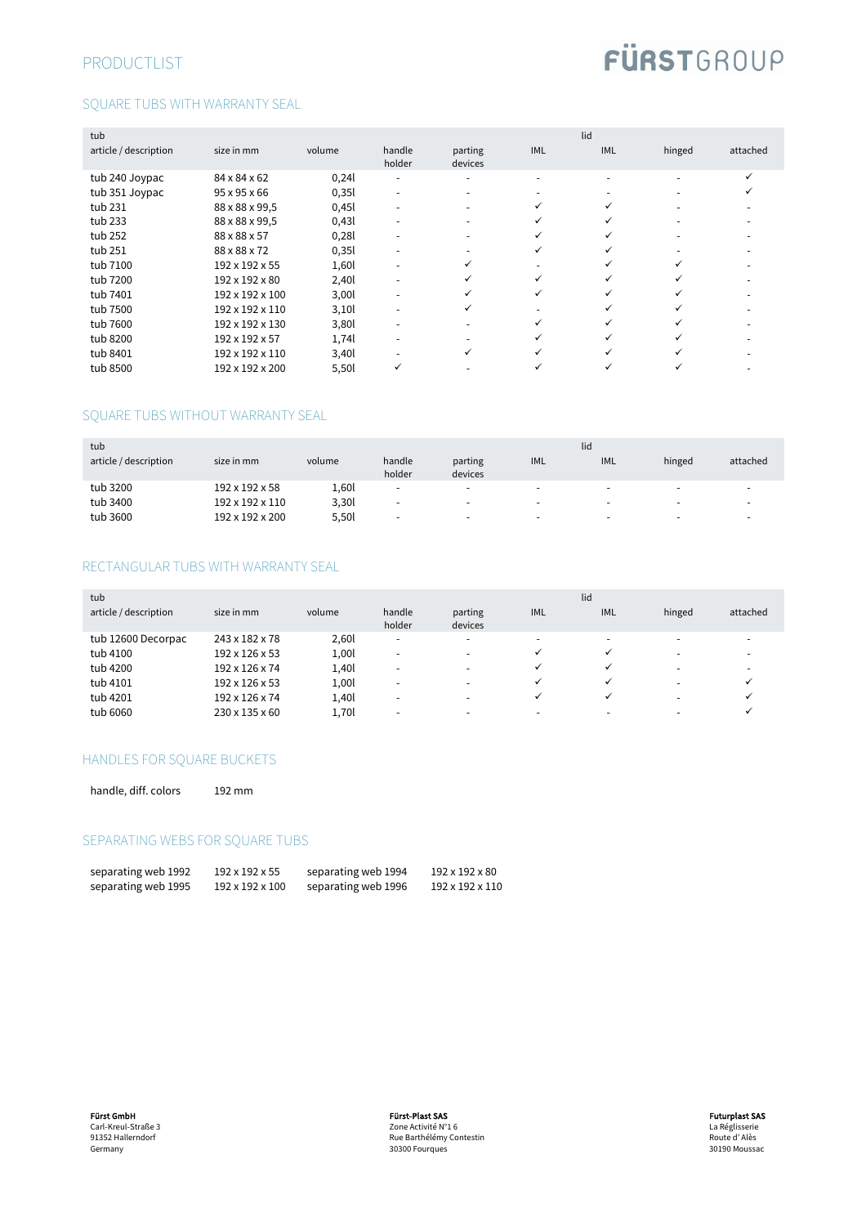## PRODUCTLIST

# FÜRSTGROUP

## SQUARE TUBS WITH WARRANTY SEAL

| tub                   |                 |        |                          |                          |            | lid                      |                          |          |
|-----------------------|-----------------|--------|--------------------------|--------------------------|------------|--------------------------|--------------------------|----------|
| article / description | size in mm      | volume | handle<br>holder         | parting<br>devices       | <b>IML</b> | <b>IML</b>               | hinged                   | attached |
| tub 240 Joypac        | 84 x 84 x 62    | 0,24   | $\overline{\phantom{a}}$ | $\overline{a}$           | $\sim$     | $\overline{\phantom{a}}$ | $\sim$                   |          |
| tub 351 Joypac        | 95 x 95 x 66    | 0,351  |                          |                          |            |                          |                          |          |
| tub 231               | 88 x 88 x 99,5  | 0,45   |                          |                          | ✓          | ✓                        |                          |          |
| tub 233               | 88 x 88 x 99,5  | 0,431  | $\sim$                   | $\overline{a}$           | ✓          | ✓                        | $\overline{\phantom{a}}$ |          |
| tub 252               | 88 x 88 x 57    | 0,281  |                          | $\overline{\phantom{0}}$ | ✓          | $\checkmark$             |                          |          |
| tub 251               | 88 x 88 x 72    | 0,35l  |                          |                          | ✓          | ✓                        |                          |          |
| tub 7100              | 192 x 192 x 55  | 1,60l  |                          | ✓                        |            | $\checkmark$             | ✓                        |          |
| tub 7200              | 192 x 192 x 80  | 2,40l  |                          | ✓                        | ✓          | $\checkmark$             | ✓                        |          |
| tub 7401              | 192 x 192 x 100 | 3,00l  |                          | ✓                        | ✓          | $\checkmark$             | ✓                        |          |
| tub 7500              | 192 x 192 x 110 | 3,10   |                          | ✓                        |            | $\checkmark$             | ✓                        |          |
| tub 7600              | 192 x 192 x 130 | 3,80l  |                          | $\overline{\phantom{0}}$ | ✓          | $\checkmark$             | ✓                        |          |
| tub 8200              | 192 x 192 x 57  | 1,74   |                          |                          | ✓          | $\checkmark$             | ✓                        |          |
| tub 8401              | 192 x 192 x 110 | 3,40l  |                          | ✓                        | ✓          | ✓                        | ✓                        |          |
| tub 8500              | 192 x 192 x 200 | 5,50l  | ✓                        |                          |            | ✓                        |                          |          |

### SQUARE TUBS WITHOUT WARRANTY SEAL

| tub                   |                 |        |                          |                          |                          | lid                      |                          |                          |
|-----------------------|-----------------|--------|--------------------------|--------------------------|--------------------------|--------------------------|--------------------------|--------------------------|
| article / description | size in mm      | volume | handle<br>holder         | parting<br>devices       | IML                      | IML                      | hinged                   | attached                 |
| tub 3200              | 192 x 192 x 58  | 1,60l  | $\overline{\phantom{a}}$ | $\overline{\phantom{0}}$ | $\overline{\phantom{0}}$ | $\overline{\phantom{0}}$ | $\overline{\phantom{0}}$ | $\overline{\phantom{0}}$ |
| tub 3400              | 192 x 192 x 110 | 3,30l  | $\overline{\phantom{0}}$ | $\overline{\phantom{0}}$ | $\overline{\phantom{0}}$ | $\overline{\phantom{0}}$ | <b>1</b>                 |                          |
| tub 3600              | 192 x 192 x 200 | 5,50l  | -                        | $\overline{\phantom{0}}$ | $\overline{\phantom{0}}$ | $\overline{\phantom{0}}$ | -                        |                          |

### RECTANGULAR TUBS WITH WARRANTY SEAL

| tub                   |                |        |                  |                          |                          | lid |        |                          |
|-----------------------|----------------|--------|------------------|--------------------------|--------------------------|-----|--------|--------------------------|
| article / description | size in mm     | volume | handle<br>holder | parting<br>devices       | <b>IML</b>               | IML | hinged | attached                 |
| tub 12600 Decorpac    | 243 x 182 x 78 | 2,60l  | <b>100</b>       | -                        | $\overline{\phantom{0}}$ |     |        |                          |
| tub 4100              | 192 x 126 x 53 | 1.00l  | <u>. .</u>       | $\overline{\phantom{a}}$ | ✓                        | ✓   |        | $\overline{\phantom{0}}$ |
| tub 4200              | 192 x 126 x 74 | 1,40l  |                  | -                        | ✓                        | ✓   |        |                          |
| tub 4101              | 192 x 126 x 53 | 1,00l  |                  |                          | ✓                        | ✓   |        |                          |
| tub 4201              | 192 x 126 x 74 | 1,40l  | <b>100</b>       | -                        | $\checkmark$             | v   |        |                          |
| tub 6060              | 230 x 135 x 60 | 1,70l  |                  |                          |                          |     |        |                          |

#### HANDLES FOR SQUARE BUCKETS

handle, diff. colors 192 mm

### SEPARATING WEBS FOR SQUARE TUBS

| separating web 1992 | 192 x 192 x 55              | separating web 1994 | 192 x 192 x 80  |
|---------------------|-----------------------------|---------------------|-----------------|
| separating web 1995 | $192 \times 192 \times 100$ | separating web 1996 | 192 x 192 x 110 |

Fürst-Plast SAS Zone Activité N°1 6 Rue Barthélémy Contestin 30300 Fourques